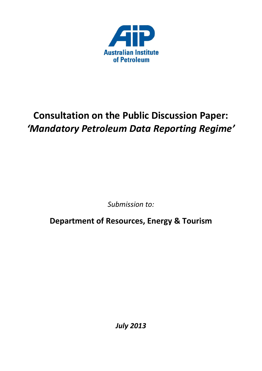

# **Consultation on the Public Discussion Paper:** *'Mandatory Petroleum Data Reporting Regime'*

*Submission to:*

**Department of Resources, Energy & Tourism**

*July 2013*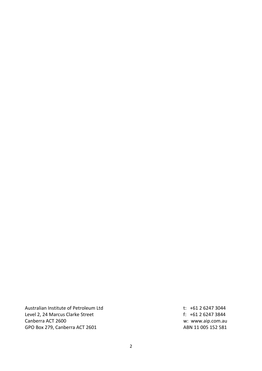Australian Institute of Petroleum Ltd t: +61 2 6247 3044 Level 2, 24 Marcus Clarke Street **f**: +61 2 6247 3844 Canberra ACT 2600 w: www.aip.com.au GPO Box 279, Canberra ACT 2601 ABN 11 005 152 581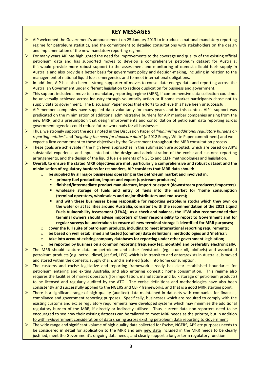### **KEY MESSAGES**

- AIP welcomed the Government's announcement on 25 January 2013 to introduce a national mandatory reporting regime for petroleum statistics, and the commitment to detailed consultations with stakeholders on the design and implementation of the new mandatory reporting regime.
- For many years AIP has highlighted the need for improvements to the coverage and quality of the existing official petroleum data and has supported moves to develop a comprehensive petroleum dataset for Australia; this would provide more robust support to the assessment and monitoring of domestic liquid fuels supply in Australia and also provide a better basis for government policy and decision-making, including in relation to the management of national liquid fuels emergencies and to meet international obligations.
- $\triangleright$  In addition, AIP has also been a strong supporter of moves to consolidate energy data and reporting across the Australian Government under different legislation to reduce duplication for business and government.
- $\triangleright$  This support included a move to a mandatory reporting regime (MRR), if comprehensive data collection could not be universally achieved across industry through voluntarily action or if some market participants chose not to supply data to government. The Discussion Paper notes that efforts to achieve this have been unsuccessful.
- $\triangleright$  AIP member companies have supplied data voluntarily for many years and in this context AIP's support was predicated on the minimisation of additional administrative burdens for AIP member companies arising from the new MRR, and a presumption that design improvements and consolidation of petroleum data reporting across government agencies could reduce future workloads for all businesses.
- Thus, we strongly support the goals noted in the Discussion Paper of *"minimising additional regulatory burdens on reporting entities"* and *"negating the need for duplicate data"* (a 2012 Energy White Paper commitment) and we expect a firm commitment to these objectives by the Government throughout the MRR consultation process.
- $\triangleright$  These goals are achievable if the high level approaches in this submission are adopted, which are based on AIP's substantial experience and input into both the design and administration of the excise and customs reporting arrangements, and the design of the liquid fuels elements of NGERS and CEFP methodologies and legislation.
- **Overall, to ensure the stated MRR objectives are met, particularly a comprehensive and robust dataset and the minimisation of regulatory burdens for responders, AIP considers that MRR data should:**
	- o **be supplied by all major businesses operating in the petroleum market and involved in:**
		- **primary fuel production, import and export (upstream producers)**
		- **finished/intermediate product manufacture, import or export (downstream producers/importers)**
		- **wholesale storage of fuels and entry of fuels into the market for 'home consumption (terminal operators, wholesalers and major distributers and end-users);**
		- **and with these businesses being responsible for reporting petroleum stocks which they own on the water or at facilities around Australia, consistent with the recommendation of the 2011 Liquid Fuels Vulnerability Assessment (LFVA); as a check and balance, the LFVA also recommended that terminal owners should advise importers of their responsibility to report to Government and for regular surveys be undertaken to ensure all new terminal storage is identified for MRR purposes;**
	- o **cover the full suite of petroleum products, including to meet international reporting requirements;**
	- o **be based on well established and tested (common) data definitions, methodologies and 'metrics';**
	- o **take into account existing company databases for reporting under other government legislation;**
	- o **be reported by business on a common reporting frequency (eg. monthly) and preferably electronically.**
- $\triangleright$  The MRR should capture data on petroleum and other feedstocks (eg. crude oil, biofuels) and associated petroleum products (e.g. petrol, diesel, jet fuel, LPG) which is in transit to and enters/exists in Australia, is moved and stored within the domestic supply chain, and is entered (sold) into home consumption.
- $\triangleright$  The customs and excise legislative and reporting framework already has clear established boundaries for petroleum entering and exiting Australia, and also entering domestic home consumption. This regime also requires the facilities of market operators (for importation, manufacture and bulk storage of petroleum products) to be licensed and regularly audited by the ATO. The excise definitions and methodologies have also been consistently and successfully applied to the NGERS and CEFP frameworks, and that is a good MRR starting point.
- $\triangleright$  There is a significant range of high quality (audited) data maintained in datasets with companies for financial, compliance and government reporting purposes. Specifically, businesses which are required to comply with the existing customs and excise regulatory requirements have developed systems which may minimise the additional regulatory burden of the MRR, if directly or indirectly utilised. Thus, current data non-reporters need to be encouraged to see how their existing datasets can be tailored to meet MRR needs as the priority, but in addition to within-Government consideration of data sharing across existing petroleum data reporting to Government
- $\triangleright$  The wide range and significant volume of high quality data collected for Excise, NGERS, APS etc purposes needs to be considered in detail for application to the MRR and any new data included in the MRR needs to be clearly justified, meet the Government's ongoing data needs, and clearly support a longer term regulatory function.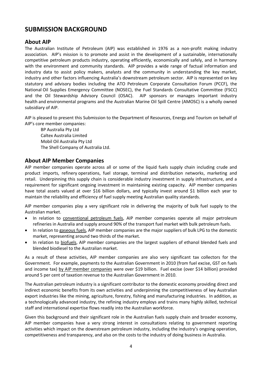# **SUBMISSION BACKGROUND**

### **About AIP**

The Australian Institute of Petroleum (AIP) was established in 1976 as a non-profit making industry association. AIP's mission is to promote and assist in the development of a sustainable, internationally competitive petroleum products industry, operating efficiently, economically and safely, and in harmony with the environment and community standards. AIP provides a wide range of factual information and industry data to assist policy makers, analysts and the community in understanding the key market, industry and other factors influencing Australia's downstream petroleum sector. AIP is represented on key statutory and advisory bodies including the ATO Petroleum Corporate Consultation Forum (PCCF), the National Oil Supplies Emergency Committee (NOSEC), the Fuel Standards Consultative Committee (FSCC) and the Oil Stewardship Advisory Council (OSAC). AIP sponsors or manages important industry health and environmental programs and the Australian Marine Oil Spill Centre (AMOSC) is a wholly owned subsidiary of AIP.

AIP is pleased to present this Submission to the Department of Resources, Energy and Tourism on behalf of AIP's core member companies:

BP Australia Pty Ltd Caltex Australia Limited Mobil Oil Australia Pty Ltd The Shell Company of Australia Ltd.

#### **About AIP Member Companies**

AIP member companies operate across all or some of the liquid fuels supply chain including crude and product imports, refinery operations, fuel storage, terminal and distribution networks, marketing and retail. Underpinning this supply chain is considerable industry investment in supply infrastructure, and a requirement for significant ongoing investment in maintaining existing capacity. AIP member companies have total assets valued at over \$16 billion dollars, and typically invest around \$1 billion each year to maintain the reliability and efficiency of fuel supply meeting Australian quality standards.

AIP member companies play a very significant role in delivering the majority of bulk fuel supply to the Australian market.

- In relation to conventional petroleum fuels, AIP member companies operate all major petroleum refineries in Australia and supply around 90% of the transport fuel market with bulk petroleum fuels.
- In relation to gaseous fuels, AIP member companies are the major suppliers of bulk LPG to the domestic market, representing around two thirds of the market.
- In relation to biofuels, AIP member companies are the largest suppliers of ethanol blended fuels and blended biodiesel to the Australian market.

As a result of these activities, AIP member companies are also very significant tax collectors for the Government. For example, payments to the Australian Government in 2010 (from fuel excise, GST on fuels and income tax) by AIP member companies were over \$19 billion. Fuel excise (over \$14 billion) provided around 5 per cent of taxation revenue to the Australian Government in 2010.

The Australian petroleum industry is a significant contributor to the domestic economy providing direct and indirect economic benefits from its own activities and underpinning the competitiveness of key Australian export industries like the mining, agriculture, forestry, fishing and manufacturing industries. In addition, as a technologically advanced industry, the refining industry employs and trains many highly skilled, technical staff and international expertise flows readily into the Australian workforce.

Given this background and their significant role in the Australian fuels supply chain and broader economy, AIP member companies have a very strong interest in consultations relating to government reporting activities which impact on the downstream petroleum industry, including the industry's ongoing operation, competitiveness and transparency, and also on the costs to the industry of doing business in Australia.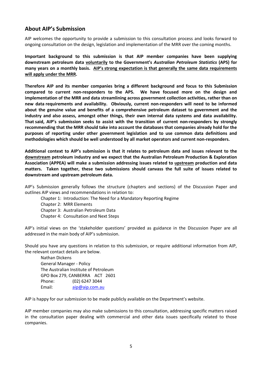## **About AIP's Submission**

AIP welcomes the opportunity to provide a submission to this consultation process and looks forward to ongoing consultation on the design, legislation and implementation of the MRR over the coming months.

**Important background to this submission is that AIP member companies have been supplying downstream petroleum data voluntarily to the Government's** *Australian Petroleum Statistics* **(APS) for many years on a monthly basis. AIP's strong expectation is that generally the same data requirements will apply under the MRR.** 

**Therefore AIP and its member companies bring a different background and focus to this Submission compared to current non-responders to the APS. We have focused more on the design and implementation of the MRR and data streamlining across government collection activities, rather than on new data requirements and availability. Obviously, current non-responders will need to be informed about the genuine value and benefits of a comprehensive petroleum dataset to government and the industry and also assess, amongst other things, their own internal data systems and data availability. That said, AIP's submission seeks to assist with the transition of current non-responders by strongly recommending that the MRR should take into account the databases that companies already hold for the purposes of reporting under other government legislation and to use common data definitions and methodologies which should be well understood by all market operators and current non-responders.**

**Additional context to AIP's submission is that it relates to petroleum data and issues relevant to the downstream petroleum industry and we expect that the Australian Petroleum Production & Exploration Association (APPEA) will make a submission addressing issues related to upstream production and data matters. Taken together, these two submissions should canvass the full suite of issues related to downstream and upstream petroleum data.**

AIP's Submission generally follows the structure (chapters and sections) of the Discussion Paper and outlines AIP views and recommendations in relation to:

- Chapter 1: Introduction: The Need for a Mandatory Reporting Regime
- Chapter 2: MRR Elements
- Chapter 3: Australian Petroleum Data
- Chapter 4: Consultation and Next Steps

AIP's initial views on the 'stakeholder questions' provided as guidance in the Discussion Paper are all addressed in the main body of AIP's submission.

Should you have any questions in relation to this submission, or require additional information from AIP, the relevant contact details are below.

Nathan Dickens General Manager - Policy The Australian Institute of Petroleum GPO Box 279, CANBERRA ACT 2601 Phone: (02) 6247 3044 Email: [aip@aip.com.au](mailto:aip@aip.com.au)

AIP is happy for our submission to be made publicly available on the Department's website.

AIP member companies may also make submissions to this consultation, addressing specific matters raised in the consultation paper dealing with commercial and other data issues specifically related to those companies.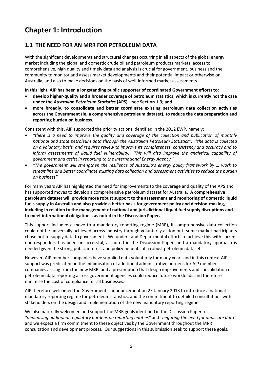# **1.1 THE NEED FOR AN MRR FOR PETROLEUM DATA**

With the significant developments and structural changes occurring in all aspects of the global energy market including the global and domestic crude oil and petroleum products markets, access to comprehensive, high quality and timely data and analysis is crucial for government, business and the community to monitor and assess market developments and their potential impact or otherwise on Australia, and also to make decisions on the basis of well-informed market assessments.

**In this light, AIP has been a longstanding public supporter of coordinated Government efforts to:**

- **develop higher‐quality and a broader coverage of petroleum statistics, which is currently not the case under the** *Australian Petroleum Statistics* **(APS) – see Section 1.3; and**
- **more broadly, to consolidate and better coordinate existing petroleum data collection activities across the Government (ie. a comprehensive petroleum dataset), to reduce the data preparation and reporting burden on business.**

Consistent with this, AIP supported the priority actions identified in the 2012 EWP, namely:

- *"there is a need to improve the quality and coverage of the collection and publication of monthly national and state petroleum data through the Australian Petroleum Statistics"; "the data is collected on a voluntary basis, and requires review to improve its completeness, consistency and accuracy and to inform assessments of liquid fuel vulnerability. This will also improve the analytical capability of government and assist in reporting to the International Energy Agency."*
- *"The government will strengthen the resilience of Australia's energy policy framework by … work to streamline and better coordinate existing data collection and assessment activities to reduce the burden on business".*

For many years AIP has highlighted the need for improvements to the coverage and quality of the APS and has supported moves to develop a comprehensive petroleum dataset for Australia. **A comprehensive petroleum dataset will provide more robust support to the assessment and monitoring of domestic liquid fuels supply in Australia and also provide a better basis for government policy and decision-making, including in relation to the management of national and jurisdictional liquid fuel supply disruptions and to meet international obligations, as noted in the Discussion Paper.**

This support included a move to a mandatory reporting regime (MRR), if comprehensive data collection could not be universally achieved across industry through voluntarily action or if some market participants chose not to supply data to government. We understand Departmental efforts to achieve this with current non-responders has been unsuccessful, as noted in the Discussion Paper, and a mandatory approach is needed given the strong public interest and policy benefits of a robust petroleum dataset.

However, AIP member companies have supplied data voluntarily for many years and in this context AIP's support was predicated on the minimisation of additional administrative burdens for AIP member companies arising from the new MRR, and a presumption that design improvements and consolidation of petroleum data reporting across government agencies could reduce future workloads and therefore minimise the cost of compliance for all businesses.

AIP therefore welcomed the Government's announcement on 25 January 2013 to introduce a national mandatory reporting regime for petroleum statistics, and the commitment to detailed consultations with stakeholders on the design and implementation of the new mandatory reporting regime.

We also naturally welcomed and support the MRR goals identified in the Discussion Paper, of *"minimising additional regulatory burdens on reporting entities"* and *"negating the need for duplicate data"* and we expect a firm commitment to these objectives by the Government throughout the MRR consultation and development process. Our suggestions in this submission seek to support these goals.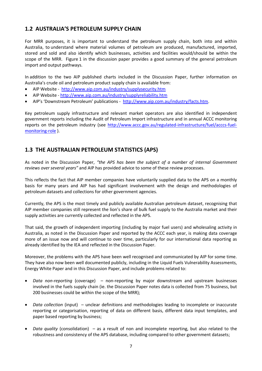# **1.2 AUSTRALIA'S PETROLEUM SUPPLY CHAIN**

For MRR purposes, it is important to understand the petroleum supply chain, both into and within Australia, to understand where material volumes of petroleum are produced, manufactured, imported, stored and sold and also identify which businesses, activities and facilities would/should be within the scope of the MRR. Figure 1 in the discussion paper provides a good summary of the general petroleum import and output pathways.

In addition to the two AIP published charts included in the Discussion Paper, further information on Australia's crude oil and petroleum product supply chain is available from:

- AIP Website <http://www.aip.com.au/industry/supplysecurity.htm>
- AIP Website <http://www.aip.com.au/industry/supplyreliability.htm>
- AIP's 'Downstream Petroleum' publications [http://www.aip.com.au/industry/facts.htm.](http://www.aip.com.au/industry/facts.htm)

Key petroleum supply infrastructure and relevant market operators are also identified in independent government reports including the Audit of Petroleum Import infrastructure and in annual ACCC monitoring reports on the petroleum industry (see [http://www.accc.gov.au/regulated-infrastructure/fuel/acccs-fuel](http://www.accc.gov.au/regulated-infrastructure/fuel/acccs-fuel-monitoring-role)[monitoring-role](http://www.accc.gov.au/regulated-infrastructure/fuel/acccs-fuel-monitoring-role) ).

## **1.3 THE AUSTRALIAN PETROLEUM STATISTICS (APS)**

As noted in the Discussion Paper, *"the APS has been the subject of a number of internal Government reviews over several years"* and AIP has provided advice to some of these review processes.

This reflects the fact that AIP member companies have voluntarily supplied data to the APS on a monthly basis for many years and AIP has had significant involvement with the design and methodologies of petroleum datasets and collections for other government agencies.

Currently, the APS is the most timely and publicly available Australian petroleum dataset, recognising that AIP member companies still represent the lion's share of bulk fuel supply to the Australia market and their supply activities are currently collected and reflected in the APS.

That said, the growth of independent importing (including by major fuel users) and wholesaling activity in Australia, as noted in the Discussion Paper and reported by the ACCC each year, is making data coverage more of an issue now and will continue to over time, particularly for our international data reporting as already identified by the IEA and reflected in the Discussion Paper.

Moreover, the problems with the APS have been well recognised and communicated by AIP for some time. They have also now been well documented publicly, including in the Liquid Fuels Vulnerability Assessments, Energy White Paper and in this Discussion Paper, and include problems related to:

- *Data non-reporting* (coverage) non-reporting by major downstream and upstream businesses involved in the fuels supply chain (ie. the Discussion Paper notes data is collected from 75 business, but 200 businesses could be within the scope of the MRR);
- *Data collection* (input) unclear definitions and methodologies leading to incomplete or inaccurate reporting or categorisation, reporting of data on different basis, different data input templates, and paper based reporting by business;
- *Data quality* (consolidation) as a result of non and incomplete reporting, but also related to the robustness and consistency of the APS database, including compared to other government datasets;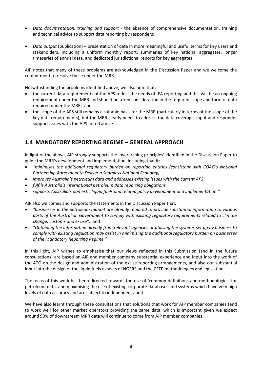- *Data documentation, training and support* the absence of comprehensive documentation, training and technical advice to support data reporting by responders;
- *Data output* (publication) presentation of data in more meaningful and useful terms for key users and stakeholders, including a uniform monthly report, summaries of key national aggregates, longer timeseries of annual data, and dedicated jurisdictional reports for key aggregates.

AIP notes that many of these problems are acknowledged in the Discussion Paper and we welcome the commitment to resolve these under the MRR.

Notwithstanding the problems identified above, we also note that:

- the current data requirements of the APS reflect the needs of IEA reporting and this will be an ongoing requirement under the MRR and should be a key consideration in the required scope and form of data required under the MRR; and
- the scope of the APS still remains a suitable basis for the MRR (particularly in terms of the scope of the key data requirements), but the MRR clearly needs to address the data coverage, input and responder support issues with the APS noted above.

# **1.4 MANDATORY REPORTING REGIME – GENERAL APPROACH**

In light of the above, AIP strongly supports the 'overarching principles' identified in the Discussion Paper to guide the MRR's development and implementation, including that it:

- *"minimises the additional regulatory burden on reporting entities (consistent with COAG's National Partnership Agreement to Deliver a Seamless National Economy)*
- **•** *improves Australia's petroleum data and addresses existing issues with the current APS*
- *fulfils Australia's international petroleum data reporting obligations*
- *supports Australia's domestic liquid fuels and related policy development and implementation."*

AIP also welcomes and supports the statements in the Discussion Paper that:

- *"businesses in the petroleum market are already required to provide substantial information to various parts of the Australian Government to comply with existing regulatory requirements related to climate change, customs and excise";* and
- *"Obtaining the information directly from relevant agencies or utilising the systems set up by business to comply with existing regulation may assist in minimising the additional regulatory burden on businesses of the Mandatory Reporting Regime."*

In this light, AIP wishes to emphasise that our views reflected in this Submission (and in the future consultations) are based on AIP and member company substantial experience and input into the work of the ATO on the design and administration of the excise reporting arrangements, and also our substantial input into the design of the liquid fuels aspects of NGERS and the CEFP methodologies and legislation.

The focus of this work has been directed towards the use of 'common definitions and methodologies' for petroleum data, and maximising the use of existing corporate databases and systems which have very high levels of data accuracy and are subject to independent audit.

We have also learnt through these consultations that solutions that work for AIP member companies tend to work well for other market operators providing the same data, which is important given we expect around 90% of downstream MRR data will continue to come from AIP member companies.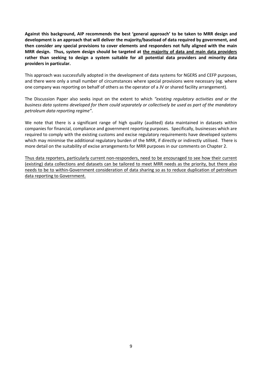**Against this background, AIP recommends the best 'general approach' to be taken to MRR design and development is an approach that will deliver the majority/baseload of data required by government, and then consider any special provisions to cover elements and responders not fully aligned with the main MRR design. Thus, system design should be targeted at the majority of data and main data providers rather than seeking to design a system suitable for all potential data providers and minority data providers in particular.** 

This approach was successfully adopted in the development of data systems for NGERS and CEFP purposes, and there were only a small number of circumstances where special provisions were necessary (eg. where one company was reporting on behalf of others as the operator of a JV or shared facility arrangement).

The Discussion Paper also seeks input on the extent to which *"existing regulatory activities and or the business data systems developed for them could separately or collectively be used as part of the mandatory petroleum data reporting regime"*.

We note that there is a significant range of high quality (audited) data maintained in datasets within companies for financial, compliance and government reporting purposes. Specifically, businesses which are required to comply with the existing customs and excise regulatory requirements have developed systems which may minimise the additional regulatory burden of the MRR, if directly or indirectly utilised. There is more detail on the suitability of excise arrangements for MRR purposes in our comments on Chapter 2.

Thus data reporters, particularly current non-responders, need to be encouraged to see how their current (existing) data collections and datasets can be tailored to meet MRR needs as the priority, but there also needs to be to within-Government consideration of data sharing so as to reduce duplication of petroleum data reporting to Government.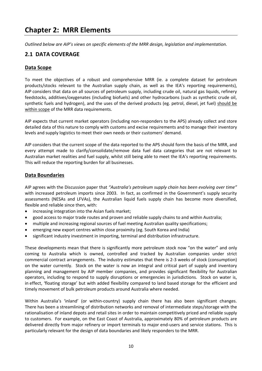# **Chapter 2: MRR Elements**

*Outlined below are AIP's views on specific elements of the MRR design, legislation and implementation.*

## **2.1 DATA COVERAGE**

#### **Data Scope**

To meet the objectives of a robust and comprehensive MRR (ie. a complete dataset for petroleum products/stocks relevant to the Australian supply chain, as well as the IEA's reporting requirements), AIP considers that data on all sources of petroleum supply, including crude oil, natural gas liquids, refinery feedstocks, additives/oxygenates (including biofuels) and other hydrocarbons (such as synthetic crude oil, synthetic fuels and hydrogen), and the uses of the derived products (eg. petrol, diesel, jet fuel) should be within scope of the MRR data requirements.

AIP expects that current market operators (including non-responders to the APS) already collect and store detailed data of this nature to comply with customs and excise requirements and to manage their inventory levels and supply logistics to meet their own needs or their customers' demand.

AIP considers that the current scope of the data reported to the APS should form the basis of the MRR, and every attempt made to clarify/consolidate/remove data fuel data categories that are not relevant to Australian market realities and fuel supply, whilst still being able to meet the IEA's reporting requirements. This will reduce the reporting burden for all businesses.

#### **Data Boundaries**

AIP agrees with the Discussion paper that *"Australia's petroleum supply chain has been evolving over time"* with increased petroleum imports since 2003. In fact, as confirmed in the Government's supply security assessments (NESAs and LFVAs), the Australian liquid fuels supply chain has become more diversified, flexible and reliable since then, with:

- increasing integration into the Asian fuels market;
- good access to major trade routes and proven and reliable supply chains to and within Australia;
- multiple and increasing regional sources of fuel meeting Australian quality specifications;
- emerging new export centres within close proximity (eg. South Korea and India)
- significant industry investment in importing, terminal and distribution infrastructure.

These developments mean that there is significantly more petroleum stock now "on the water" and only coming to Australia which is owned, controlled and tracked by Australian companies under strict commercial contract arrangements. The industry estimates that there is 2-3 weeks of stock (consumption) on the water currently. Stock on the water is now an integral and critical part of supply and inventory planning and management by AIP member companies, and provides significant flexibility for Australian operators, including to respond to supply disruptions or emergencies in jurisdictions. Stock on water is, in effect, 'floating storage' but with added flexibility compared to land based storage for the efficient and timely movement of bulk petroleum products around Australia where needed.

Within Australia's 'inland' (or within-country) supply chain there has also been significant changes. There has been a streamlining of distribution networks and removal of intermediate steps/storage with the rationalisation of inland depots and retail sites in order to maintain competitively priced and reliable supply to customers. For example, on the East Coast of Australia, approximately 80% of petroleum products are delivered directly from major refinery or import terminals to major end-users and service stations. This is particularly relevant for the design of data boundaries and likely responders to the MRR.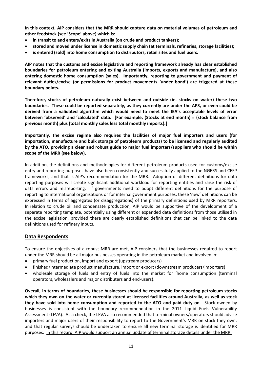**In this context, AIP considers that the MRR should capture data on material volumes of petroleum and other feedstock (see 'Scope' above) which is:**

- **in transit to and enters/exits in Australia (on crude and product tankers);**
- **stored and moved under license in domestic supply chain (at terminals, refineries, storage facilities);**
- **is entered (sold) into home consumption to distributors, retail sites and fuel users.**

**AIP notes that the customs and excise legislative and reporting framework already has clear established boundaries for petroleum entering and exiting Australia (imports, exports and manufacture), and also entering domestic home consumption (sales). Importantly, reporting to government and payment of relevant duties/excise (or permissions for product movements 'under bond') are triggered at these boundary points.**

**Therefore, stocks of petroleum naturally exist between and outside (ie. stocks on water) these two boundaries. These could be reported separately, as they currently are under the APS, or even could be derived from a validated algorithm which would need to meet the IEA's acceptable levels of error between 'observed' and 'calculated' data. [For example, (Stocks at end month) = (stock balance from previous month) plus (total monthly sales less total monthly imports).]**

**Importantly, the excise regime also requires the facilities of major fuel importers and users (for importation, manufacture and bulk storage of petroleum products) to be licensed and regularly audited by the ATO, providing a clear and robust guide to major fuel importers/suppliers who should be within scope of the MRR (see below).** 

In addition, the definitions and methodologies for different petroleum products used for customs/excise entry and reporting purposes have also been consistently and successfully applied to the NGERS and CEFP frameworks, and that is AIP's recommendation for the MRR. Adoption of different definitions for data reporting purposes will create significant additional workload for reporting entities and raise the risk of data errors and misreporting. If governments need to adopt different definitions for the purpose of reporting to international organisations or for internal government purposes, these 'new' definitions can be expressed in terms of aggregates (or disaggregations) of the primary definitions used by MRR reporters. In relation to crude oil and condensate production, AIP would be supportive of the development of a separate reporting template, potentially using different or expanded data definitions from those utilised in the excise legislation, provided there are clearly established definitions that can be linked to the data definitions used for refinery inputs.

#### **Data Respondents**

To ensure the objectives of a robust MRR are met, AIP considers that the businesses required to report under the MRR should be all major businesses operating in the petroleum market and involved in:

- primary fuel production, import and export (upstream producers)
- finished/intermediate product manufacture, import or export (downstream producers/importers)
- wholesale storage of fuels and entry of fuels into the market for 'home consumption (terminal operators, wholesalers and major distributers and end-users).

**Overall, in terms of boundaries, these businesses should be responsible for reporting petroleum stocks which they own on the water or currently stored at licensed facilities around Australia, as well as stock they have sold into home consumption and reported to the ATO and paid duty on**. Stock owned by businesses is consistent with the boundary recommendation in the 2011 Liquid Fuels Vulnerability Assessment (LFVA). As a check, the LFVA also recommended that terminal owners/operators should advise importers and major users of their responsibility to report to the Government's MRR on stock they own, and that regular surveys should be undertaken to ensure all new terminal storage is identified for MRR purposes. In this regard, AIP would support an annual update of terminal storage details under the MRR.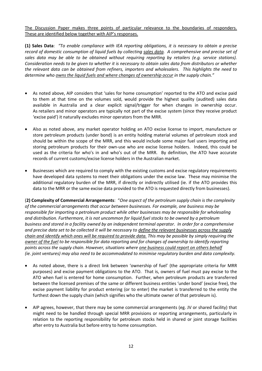The Discussion Paper makes three points of particular relevance to the boundaries of responders. These are identified below together with AIP's responses.

**(1) Sales Data**: *"To enable compliance with IEA reporting obligations, it is necessary to obtain a precise record of domestic consumption of liquid fuels by collecting sales data. A comprehensive and precise set of sales data may be able to be obtained without requiring reporting by retailers (e.g. service stations). Consideration needs to be given to whether it is necessary to obtain sales data from distributors or whether the relevant data can be obtained from refiners, importers and wholesalers. This highlights the need to determine who owns the liquid fuels and where changes of ownership occur in the supply chain."*

- As noted above, AIP considers that 'sales for home consumption' reported to the ATO and excise paid to them at that time on the volumes sold, would provide the highest quality (audited) sales data available in Australia and a clear explicit signal/trigger for when changes in ownership occur. As retailers and minor operators are typically not part of the excise system (since they receive product 'excise paid') it naturally excludes minor operators from the MRR.
- Also as noted above, any market operator holding an ATO excise license to import, manufacture or store petroleum products (under bond) is an entity holding material volumes of petroleum stock and should be within the scope of the MRR, and this would include some major fuel users importing and storing petroleum products for their own-use who are excise license holders. Indeed, this could be used as the criteria for who's in and who's out of the MRR. By definition, the ATO have accurate records of current customs/excise license holders in the Australian market.
- Businesses which are required to comply with the existing customs and excise regulatory requirements have developed data systems to meet their obligations under the excise law. These may minimise the additional regulatory burden of the MRR, if directly or indirectly utilised (ie. if the ATO provides this data to the MRR or the same excise data provided to the ATO is requested directly from businesses).

(**2) Complexity of Commercial Arrangements**: "*One aspect of the petroleum supply chain is the complexity of the commercial arrangements that occur between businesses. For example, one business may be responsible for importing a petroleum product while other businesses may be responsible for wholesaling and distribution. Furthermore, it is not uncommon for liquid fuel stocks to be owned by a petroleum business and stored in a facility owned by an independent terminal operator. In order for a comprehensive and precise data set to be collected it will be necessary to define the relevant businesses across the supply chain and identify which ones will be required to provide data. This may be possible by simply requiring the owner of the fuel to be responsible for data reporting and for changes of ownership to identify reporting points across the supply chain. However, situations where one business could report on others behalf (ie. joint ventures) may also need to be accommodated to minimise regulatory burden and data complexity.*

- As noted above, there is a direct link between 'ownership of fuel' (the appropriate criteria for MRR purposes) and excise payment obligations to the ATO. That is, owners of fuel must pay excise to the ATO when fuel is entered for home consumption. Further, when petroleum products are transferred between the licensed premises of the same or different business entities 'under bond' (excise free), the excise payment liability for product entering (or to enter) the market is transferred to the entity the furthest down the supply chain (which signifies who the ultimate owner of that petroleum is).
- AIP agrees, however, that there may be some commercial arrangements (eg. JV or shared facility) that might need to be handled through special MRR provisions or reporting arrangements, particularly in relation to the reporting responsibility for petroleum stocks held in shared or joint storage facilities after entry to Australia but before entry to home consumption.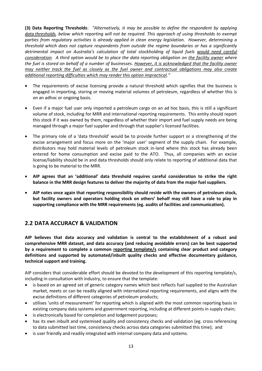**(3) Data Reporting Thresholds**: *"Alternatively, it may be possible to define the respondent by applying data thresholds, below which reporting will not be required. This approach of using thresholds to exempt parties from regulatory activities is already applied in clean energy legislation. However, determining a threshold which does not capture respondents from outside the regime boundaries or has a significantly detrimental impact on Australia's calculation of total stockholding of liquid fuels would need careful consideration. A third option would be to place the data reporting obligation on the facility owner where the fuel is stored on behalf of a number of businesses. However, it is acknowledged that the facility owner may neither track the fuel as closely as the fuel owner and contractual obligations may also create additional reporting difficulties which may render this option impractical."*

- The requirements of excise licensing provide a natural threshold which signifies that the business is engaged in importing, storing or moving material volumes of petroleum, regardless of whether this is on an adhoc or ongoing basis.
- Even if a major fuel user only imported a petroleum cargo on an ad hoc basis, this is still a significant volume of stock, including for MRR and international reporting requirements. This entity should report this stock if it was owned by them, regardless of whether their import and fuel supply needs are being managed through a major fuel supplier and through that supplier's licensed facilities.
- The primary role of a 'data threshold' would be to provide further support or a strengthening of the excise arrangement and focus more on the 'major user' segment of the supply chain. For example, distributors may hold material levels of petroleum stock in-land where this stock has already been entered for home consumption and excise paid to the ATO. Thus, all companies with an excise license/liability should be in and data thresholds should only relate to reporting of additional data that is going to be material to the MRR.
- **AIP agrees that an 'additional' data threshold requires careful consideration to strike the right balance in the MRR design features to deliver the majority of data from the major fuel suppliers.**
- **AIP notes once again that reporting responsibility should reside with the owners of petroleum stock, but facility owners and operators holding stock on others' behalf may still have a role to play in supporting compliance with the MRR requirements (eg. audits of facilities and communication).**

# **2.2 DATA ACCURACY & VALIDATION**

**AIP believes that data accuracy and validation is central to the establishment of a robust and comprehensive MRR dataset, and data accuracy (and reducing avoidable errors) can be best supported by a requirement to complete a common reporting template/s containing clear product and category definitions and supported by automated/inbuilt quality checks and effective documentary guidance, technical support and training.**

AIP considers that considerable effort should be devoted to the development of this reporting template/s, including in consultation with industry, to ensure that the template:

- is based on an agreed set of generic category names which best reflects fuel supplied to the Australian market, meets or can be readily aligned with international reporting requirements, and aligns with the excise definitions of different categories of petroleum products;
- utilises 'units of measurement' for reporting which is aligned with the most common reporting basis in existing company data systems and government reporting, including at different points in supply chain;
- is electronically based for completion and lodgement purposes;
- has its own inbuilt and systemised quality and consistency checks and validation (eg. cross referencing to data submitted last time, consistency checks across data categories submitted this time); and
- is user friendly and readily integrated with internal company data and systems.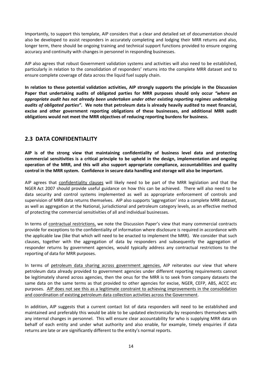Importantly, to support this template, AIP considers that a clear and detailed set of documentation should also be developed to assist responders in accurately completing and lodging their MRR returns and also, longer term, there should be ongoing training and technical support functions provided to ensure ongoing accuracy and continuity with changes in personnel in responding businesses.

AIP also agrees that robust Government validation systems and activities will also need to be established, particularly in relation to the consolidation of responders' returns into the complete MRR dataset and to ensure complete coverage of data across the liquid fuel supply chain.

**In relation to these potential validation activities, AIP strongly supports the principle in the Discussion Paper that undertaking audits of obligated parties for MRR purposes should only occur** *"where an appropriate audit has not already been undertaken under other existing reporting regimes undertaking audits of obligated parties"***. We note that petroleum data is already heavily audited to meet financial, excise and other government reporting obligations of these businesses, and additional MRR audit obligations would not meet the MRR objectives of reducing reporting burdens for business.**

# **2.3 DATA CONFIDENTIALITY**

**AIP is of the strong view that maintaining confidentiality of business level data and protecting commercial sensitivities is a critical principle to be upheld in the design, implementation and ongoing operation of the MRR, and this will also support appropriate compliance, accountabilities and quality control in the MRR system. Confidence in secure data handling and storage will also be important.**

AIP agrees that confidentiality clauses will likely need to be part of the MRR legislation and that the NGER Act 2007 should provide useful guidance on how this can be achieved. There will also need to be data security and control systems implemented as well as appropriate enforcement of controls and supervision of MRR data returns themselves. AIP also supports 'aggregation' into a complete MRR dataset, as well as aggregation at the National, jurisdictional and petroleum category levels, as an effective method of protecting the commercial sensitivities of all and individual businesses.

In terms of contractual restrictions, we note the Discussion Paper's view that many commercial contracts provide for exceptions to the confidentiality of information where disclosure is required in accordance with the applicable law (like that which will need to be enacted to implement the MRR). We consider that such clauses, together with the aggregation of data by responders and subsequently the aggregation of responder returns by government agencies, would typically address any contractual restrictions to the reporting of data for MRR purposes.

In terms of petroleum data sharing across government agencies, AIP reiterates our view that where petroleum data already provided to government agencies under different reporting requirements cannot be legitimately shared across agencies, then the onus for the MRR is to seek from company datasets the same data on the same terms as that provided to other agencies for excise, NGER, CEFP, ABS, ACCC etc purposes. AIP does not see this as a legitimate constraint to achieving improvements in the consolidation and coordination of existing petroleum data collection activities across the Government.

In addition, AIP suggests that a current contact list of data responders will need to be established and maintained and preferably this would be able to be updated electronically by responders themselves with any internal changes in personnel. This will ensure clear accountability for who is supplying MRR data on behalf of each entity and under what authority and also enable, for example, timely enquiries if data returns are late or are significantly different to the entity's normal reports.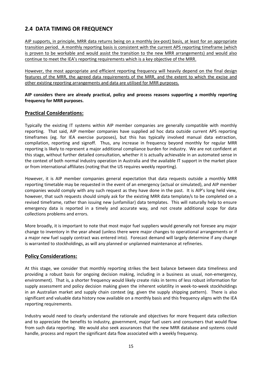# **2.4 DATA TIMING OR FREQUENCY**

AIP supports, in principle, MRR data returns being on a monthly (ex-post) basis, at least for an appropriate transition period. A monthly reporting basis is consistent with the current APS reporting timeframe (which is proven to be workable and would assist the transition to the new MRR arrangements) and would also continue to meet the IEA's reporting requirements which is a key objective of the MRR.

However, the most appropriate and efficient reporting frequency will heavily depend on the final design features of the MRR, the agreed data requirements of the MRR, and the extent to which the excise and other existing reporting arrangements and data are utilised for MRR purposes.

#### **AIP considers there are already practical, policy and process reasons supporting a monthly reporting frequency for MRR purposes.**

#### **Practical Considerations:**

Typically the existing IT systems within AIP member companies are generally compatible with monthly reporting. That said, AIP member companies have supplied ad hoc data outside current APS reporting timeframes (eg. for IEA exercise purposes), but this has typically involved manual data extraction, compilation, reporting and signoff. Thus, any increase in frequency beyond monthly for regular MRR reporting is likely to represent a major additional compliance burden for industry. We are not confident at this stage, without further detailed consultation, whether it is actually achievable in an automated sense in the context of both normal industry operation in Australia and the available IT support in the market place or from international affiliates (noting that the US requires weekly reporting).

However, it is AIP member companies general expectation that data requests outside a monthly MRR reporting timetable may be requested in the event of an emergency (actual or simulated), and AIP member companies would comply with any such request as they have done in the past. It is AIP's long held view, however, that such requests should simply ask for the existing MRR data template/s to be completed on a revised timeframe, rather than issuing new (unfamiliar) data templates. This will naturally help to ensure emergency data is reported in a timely and accurate way, and not create additional scope for data collections problems and errors.

More broadly, it is important to note that most major fuel suppliers would generally not foresee any major change to inventory in the year ahead (unless there were major changes to operational arrangements or if a major new fuel supply contract was entered into). Forecast demand will largely determine if any change is warranted to stockholdings, as will any planned or unplanned maintenance at refineries.

#### **Policy Considerations:**

At this stage, we consider that monthly reporting strikes the best balance between data timeliness and providing a robust basis for ongoing decision making, including in a business as usual, non-emergency, environment). That is, a shorter frequency would likely create risks in terms of less robust information for supply assessment and policy decision making given the inherent volatility in week-to-week stockholdings in an Australian market and supply chain context (eg. given the supply shipping pattern). There is also significant and valuable data history now available on a monthly basis and this frequency aligns with the IEA reporting requirements.

Industry would need to clearly understand the rationale and objectives for more frequent data collection and to appreciate the benefits to industry, government, major fuel users and consumers that would flow from such data reporting. We would also seek assurances that the new MRR database and systems could handle, process and report the significant data flow associated with a weekly frequency.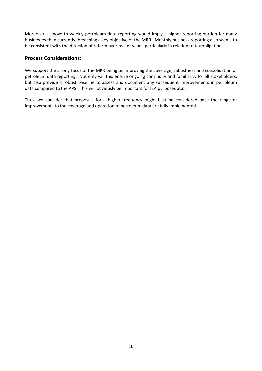Moreover, a move to weekly petroleum data reporting would imply a higher reporting burden for many businesses than currently, breaching a key objective of the MRR. Monthly business reporting also seems to be consistent with the direction of reform over recent years, particularly in relation to tax obligations.

#### **Process Considerations:**

We support the strong focus of the MRR being on improving the coverage, robustness and consolidation of petroleum data reporting. Not only will this ensure ongoing continuity and familiarity for all stakeholders, but also provide a robust baseline to assess and document any subsequent improvements in petroleum data compared to the APS. This will obviously be important for IEA purposes also.

Thus, we consider that proposals for a higher frequency might best be considered once the range of improvements to the coverage and operation of petroleum data are fully implemented.